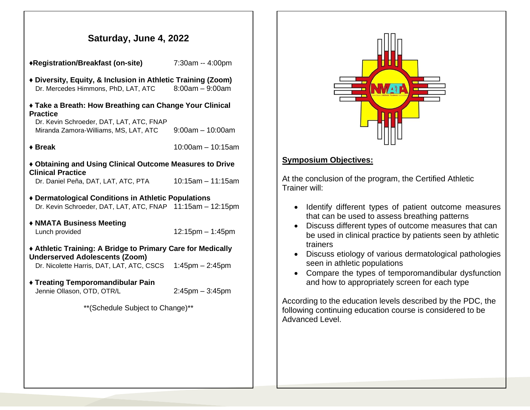## **Saturday, June 4, 2022**

♦**Registration/Breakfast (on-site)** 7:30am -- 4:00pm

- ♦ **Diversity, Equity, & Inclusion in Athletic Training (Zoom)** Dr. Mercedes Himmons, PhD, LAT, ATC 8:00am – 9:00am
- ♦ **Take a Breath: How Breathing can Change Your Clinical Practice**

 Dr. Kevin Schroeder, DAT, LAT, ATC, FNAP Miranda Zamora-Williams, MS, LAT, ATC 9:00am – 10:00am

♦ **Break** 10:00am – 10:15am

♦ **Obtaining and Using Clinical Outcome Measures to Drive Clinical Practice**

Dr. Daniel Peña, DAT, LAT, ATC, PTA 10:15am – 11:15am

- ♦ **Dermatological Conditions in Athletic Populations** Dr. Kevin Schroeder, DAT, LAT, ATC, FNAP 11:15am – 12:15pm
- ♦ **NMATA Business Meeting** Lunch provided 12:15pm – 1:45pm

♦ **Athletic Training: A Bridge to Primary Care for Medically Underserved Adolescents (Zoom)**

Dr. Nicolette Harris, DAT, LAT, ATC, CSCS 1:45pm – 2:45pm

♦ **Treating Temporomandibular Pain** Jennie Ollason, OTD, OTR/L 2:45pm – 3:45pm

\*\*(Schedule Subject to Change)\*\*



## **Symposium Objectives:**

At the conclusion of the program, the Certified Athletic Trainer will:

- Identify different types of patient outcome measures that can be used to assess breathing patterns
- Discuss different types of outcome measures that can be used in clinical practice by patients seen by athletic trainers
- Discuss etiology of various dermatological pathologies seen in athletic populations
- Compare the types of temporomandibular dysfunction and how to appropriately screen for each type

According to the education levels described by the PDC, the following continuing education course is considered to be Advanced Level.